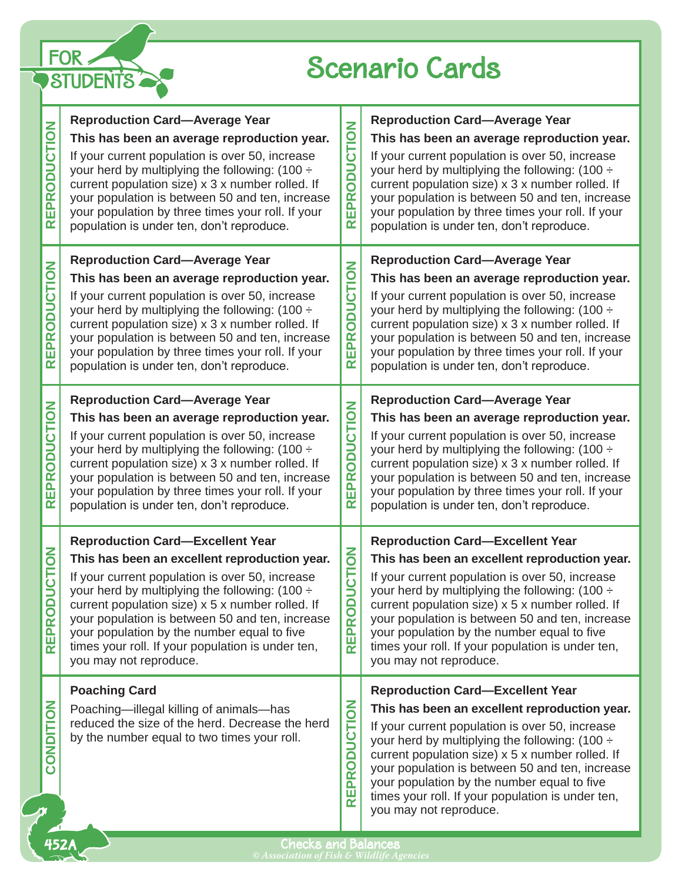

## Scenario Cards

| EPRODUCTION<br>$\overline{\mathbf{r}}$                   | <b>Reproduction Card-Average Year</b><br>This has been an average reproduction year.<br>If your current population is over 50, increase<br>your herd by multiplying the following: $(100 \div$<br>current population size) x 3 x number rolled. If<br>your population is between 50 and ten, increase<br>your population by three times your roll. If your<br>population is under ten, don't reproduce.                                 | <b>DUCTION</b><br>$\overline{\mathbf{o}}$<br>PŘ<br>冚<br>$\propto$                                                     | <b>Reproduction Card-Average Year</b><br>This has been an average reproduction year.<br>If your current population is over 50, increase<br>your herd by multiplying the following: $(100 \div$<br>current population size) x 3 x number rolled. If<br>your population is between 50 and ten, increase<br>your population by three times your roll. If your<br>population is under ten, don't reproduce.                                 |
|----------------------------------------------------------|-----------------------------------------------------------------------------------------------------------------------------------------------------------------------------------------------------------------------------------------------------------------------------------------------------------------------------------------------------------------------------------------------------------------------------------------|-----------------------------------------------------------------------------------------------------------------------|-----------------------------------------------------------------------------------------------------------------------------------------------------------------------------------------------------------------------------------------------------------------------------------------------------------------------------------------------------------------------------------------------------------------------------------------|
| <b>ODUCTION</b><br><b>REPR</b>                           | <b>Reproduction Card-Average Year</b><br>This has been an average reproduction year.<br>If your current population is over 50, increase<br>your herd by multiplying the following: $(100 \div$<br>current population size) x 3 x number rolled. If<br>your population is between 50 and ten, increase<br>your population by three times your roll. If your<br>population is under ten, don't reproduce.                                 | <b>DUCTION</b><br>ō<br>EPR<br>$\propto$                                                                               | <b>Reproduction Card-Average Year</b><br>This has been an average reproduction year.<br>If your current population is over 50, increase<br>your herd by multiplying the following: $(100 \div$<br>current population size) x 3 x number rolled. If<br>your population is between 50 and ten, increase<br>your population by three times your roll. If your<br>population is under ten, don't reproduce.                                 |
| <b>ODUCTION</b><br><b>EPR</b><br>$\overline{\mathbf{r}}$ | <b>Reproduction Card-Average Year</b><br>This has been an average reproduction year.<br>If your current population is over 50, increase<br>your herd by multiplying the following: $(100 \div$<br>current population size) x 3 x number rolled. If<br>your population is between 50 and ten, increase<br>your population by three times your roll. If your<br>population is under ten, don't reproduce.                                 | <b>ODUCTION</b><br>EPR<br>$\alpha$                                                                                    | <b>Reproduction Card-Average Year</b><br>This has been an average reproduction year.<br>If your current population is over 50, increase<br>your herd by multiplying the following: $(100 \div$<br>current population size) x 3 x number rolled. If<br>your population is between 50 and ten, increase<br>your population by three times your roll. If your<br>population is under ten, don't reproduce.                                 |
| <b>CTION</b><br>Ĕ<br>$\Box$<br><b>REPRO</b>              | <b>Reproduction Card-Excellent Year</b><br>This has been an excellent reproduction year.<br>If your current population is over 50, increase<br>your herd by multiplying the following: $(100 \div$<br>current population size) x 5 x number rolled. If<br>your population is between 50 and ten, increase<br>your population by the number equal to five<br>times your roll. If your population is under ten,<br>you may not reproduce. | $\overline{6}$<br>$\breve{\overline{5}}$<br>Š<br>$\bullet$<br>$\overline{\mathbf{r}}$<br>윤<br>$\overline{\mathbf{r}}$ | <b>Reproduction Card-Excellent Year</b><br>This has been an excellent reproduction year.<br>If your current population is over 50, increase<br>your herd by multiplying the following: $(100 \div$<br>current population size) x 5 x number rolled. If<br>your population is between 50 and ten, increase<br>your population by the number equal to five<br>times your roll. If your population is under ten,<br>you may not reproduce. |
| CONDITION                                                | <b>Poaching Card</b><br>Poaching-illegal killing of animals-has<br>reduced the size of the herd. Decrease the herd<br>by the number equal to two times your roll.                                                                                                                                                                                                                                                                       | <b>DUCTION</b><br>$\bullet$<br>$\overline{\mathbf{r}}$<br>$\mathbf{a}$<br>面<br>$\overline{\mathbf{r}}$                | <b>Reproduction Card-Excellent Year</b><br>This has been an excellent reproduction year.<br>If your current population is over 50, increase<br>your herd by multiplying the following: (100 ÷<br>current population size) x 5 x number rolled. If<br>your population is between 50 and ten, increase<br>your population by the number equal to five<br>times your roll. If your population is under ten,<br>you may not reproduce.      |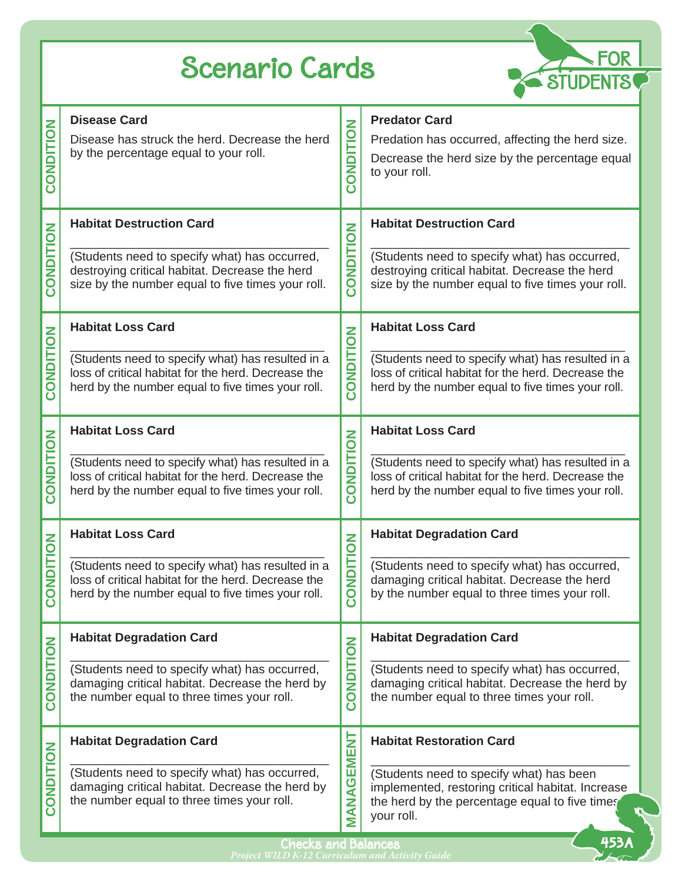## Scenario Cards



| <b>ONDITION</b><br>Ō          | <b>Disease Card</b><br>Disease has struck the herd. Decrease the herd<br>by the percentage equal to your roll.                                                | NOILIONO<br>Ō                        | <b>Predator Card</b><br>Predation has occurred, affecting the herd size.<br>Decrease the herd size by the percentage equal<br>to your roll.                   |  |  |  |
|-------------------------------|---------------------------------------------------------------------------------------------------------------------------------------------------------------|--------------------------------------|---------------------------------------------------------------------------------------------------------------------------------------------------------------|--|--|--|
| CONDITION                     | <b>Habitat Destruction Card</b>                                                                                                                               | CONDITION                            | <b>Habitat Destruction Card</b>                                                                                                                               |  |  |  |
|                               | (Students need to specify what) has occurred,<br>destroying critical habitat. Decrease the herd<br>size by the number equal to five times your roll.          |                                      | (Students need to specify what) has occurred,<br>destroying critical habitat. Decrease the herd<br>size by the number equal to five times your roll.          |  |  |  |
| CONDITION                     | <b>Habitat Loss Card</b>                                                                                                                                      | CONDITION                            | <b>Habitat Loss Card</b>                                                                                                                                      |  |  |  |
|                               | (Students need to specify what) has resulted in a<br>loss of critical habitat for the herd. Decrease the<br>herd by the number equal to five times your roll. |                                      | (Students need to specify what) has resulted in a<br>loss of critical habitat for the herd. Decrease the<br>herd by the number equal to five times your roll. |  |  |  |
|                               | <b>Habitat Loss Card</b>                                                                                                                                      |                                      | <b>Habitat Loss Card</b>                                                                                                                                      |  |  |  |
| NDITION<br>$\bar{\mathbf{S}}$ | (Students need to specify what) has resulted in a<br>loss of critical habitat for the herd. Decrease the<br>herd by the number equal to five times your roll. | NOITION<br><u>င</u> ္င               | (Students need to specify what) has resulted in a<br>loss of critical habitat for the herd. Decrease the<br>herd by the number equal to five times your roll. |  |  |  |
| NDITION<br>$\overline{O}$     | <b>Habitat Loss Card</b>                                                                                                                                      | <b>NOILONO</b><br>$\bar{\mathbf{o}}$ | <b>Habitat Degradation Card</b>                                                                                                                               |  |  |  |
|                               | (Students need to specify what) has resulted in a<br>loss of critical habitat for the herd. Decrease the<br>herd by the number equal to five times your roll. |                                      | (Students need to specify what) has occurred,<br>damaging critical habitat. Decrease the herd<br>by the number equal to three times your roll.                |  |  |  |
| CONDITION                     | <b>Habitat Degradation Card</b>                                                                                                                               | CONDITION                            | <b>Habitat Degradation Card</b>                                                                                                                               |  |  |  |
|                               | (Students need to specify what) has occurred,<br>damaging critical habitat. Decrease the herd by<br>the number equal to three times your roll.                |                                      | (Students need to specify what) has occurred,<br>damaging critical habitat. Decrease the herd by<br>the number equal to three times your roll.                |  |  |  |
| <b>NOILION</b><br>Ō           | <b>Habitat Degradation Card</b>                                                                                                                               | MANAGEMENT                           | <b>Habitat Restoration Card</b>                                                                                                                               |  |  |  |
|                               | (Students need to specify what) has occurred,<br>damaging critical habitat. Decrease the herd by<br>the number equal to three times your roll.                |                                      | (Students need to specify what) has been<br>implemented, restoring critical habitat. Increase<br>the herd by the percentage equal to five times<br>your roll. |  |  |  |
|                               | 453<br><b>Checks and Balances</b>                                                                                                                             |                                      |                                                                                                                                                               |  |  |  |

Checks and Balances